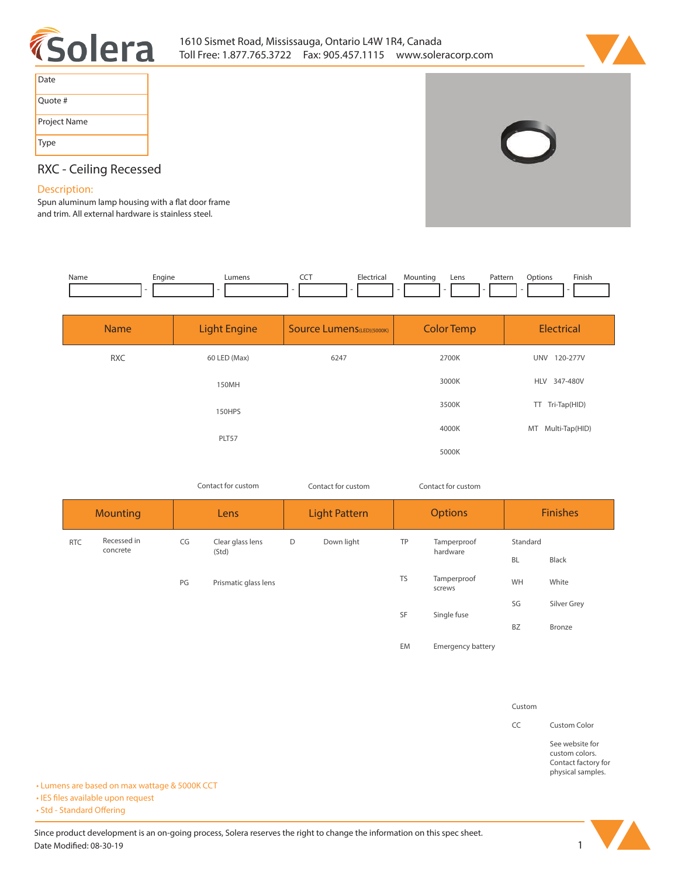



| Date         |
|--------------|
| Quote #      |
| Project Name |
| Type         |



# **RXC - Ceiling Recessed**

# **Description:**

Spun aluminum lamp housing with a flat door frame **and trim. All external hardware is stainless steel.** 

| Name | Engine<br>- 11 | umens_ | --- | Flectrica.<br>. | Lens<br>Mounting | Patterr<br>. | <b>Options</b> | Finish |
|------|----------------|--------|-----|-----------------|------------------|--------------|----------------|--------|
|      |                |        |     |                 |                  |              |                |        |

| <b>Name</b> | <b>Light Engine</b> | <b>Source Lumens</b> (LED)(5000K) | <b>Color Temp</b> | <b>Electrical</b>      |
|-------------|---------------------|-----------------------------------|-------------------|------------------------|
| <b>RXC</b>  | 60 LED (Max)        | 6247                              | 2700K             | <b>UNV</b><br>120-277V |
|             | 150MH               |                                   | 3000K             | HLV 347-480V           |
|             | 150HPS              |                                   | 3500K             | Tri-Tap(HID)<br>TT.    |
|             | PLT57               |                                   | 4000K             | Multi-Tap(HID)<br>MT   |
|             |                     |                                   | 5000K             |                        |

*Contact for custom Contact for custom*

*Contact for custom*

| <b>Mounting</b> |                         | Lens |                      | <b>Light Pattern</b> |            | <b>Options</b> |                          | <b>Finishes</b> |             |
|-----------------|-------------------------|------|----------------------|----------------------|------------|----------------|--------------------------|-----------------|-------------|
| <b>RTC</b>      | Recessed in<br>concrete | CG   | Clear glass lens     | D                    | Down light | TP             | Tamperproof<br>hardware  | Standard        |             |
|                 |                         |      | (Std)                |                      |            |                |                          | <b>BL</b>       | Black       |
|                 |                         | PG   | Prismatic glass lens |                      |            | <b>TS</b>      | Tamperproof<br>screws    | WH              | White       |
|                 |                         |      |                      |                      |            | SF             | Single fuse              | SG              | Silver Grey |
|                 |                         |      |                      |                      |            |                |                          | <b>BZ</b>       | Bronze      |
|                 |                         |      |                      |                      |            | EM             | <b>Emergency battery</b> |                 |             |

#### **Custom**

**CC Custom Color**

**See website for custom colors. Contact factory for physical samples.** 

**• Lumens are based on max wattage & 5000K CCT**

**• IES files available upon request** 

• Std - Standard Offering

Since product development is an on-going process, Solera reserves the right to change the information on this spec sheet. **Date Modified: 08-30-19 1**